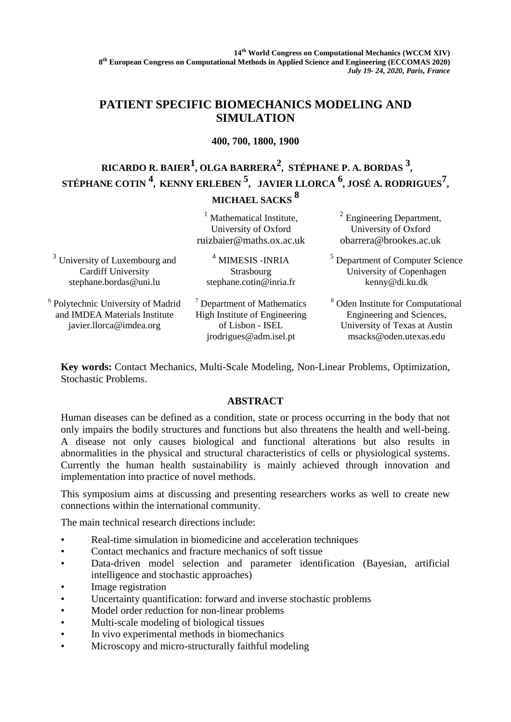**14th World Congress on Computational Mechanics (WCCM XIV) 8 th European Congress on Computational Methods in Applied Science and Engineering (ECCOMAS 2020)** *July 19- 24, 2020, Paris, France*

## **PATIENT SPECIFIC BIOMECHANICS MODELING AND SIMULATION**

### **400, 700, 1800, 1900**

# **RICARDO R. BAIER1 , OLGA BARRERA<sup>2</sup> , STÉPHANE P. A. BORDAS 3 , STÉPHANE COTIN <sup>4</sup> , KENNY ERLEBEN <sup>5</sup> , JAVIER LLORCA <sup>6</sup> , JOSÉ A. RODRIGUES<sup>7</sup> , MICHAEL SACKS <sup>8</sup>**

|                                                                                                           | Mathematical Institute,<br>University of Oxford<br>ruizbaier@maths.ox.ac.uk                              | $2$ Engineering Department,<br>University of Oxford<br>obarrera@brookes.ac.uk                                                         |
|-----------------------------------------------------------------------------------------------------------|----------------------------------------------------------------------------------------------------------|---------------------------------------------------------------------------------------------------------------------------------------|
| <sup>3</sup> University of Luxembourg and<br><b>Cardiff University</b><br>stephane.bordas@uni.lu          | $4$ MIMESIS - INRIA<br>Strasbourg<br>stephane.cotin@inria.fr                                             | <sup>5</sup> Department of Computer Science<br>University of Copenhagen<br>kenny@di.ku.dk                                             |
| <sup>6</sup> Polytechnic University of Madrid<br>and IMDEA Materials Institute<br>javier.llorca@imdea.org | Department of Mathematics<br>High Institute of Engineering<br>of Lisbon - ISEL<br>jrodrigues@adm.isel.pt | <sup>8</sup> Oden Institute for Computational<br>Engineering and Sciences,<br>University of Texas at Austin<br>msacks@oden.utexas.edu |

**Key words:** Contact Mechanics, Multi-Scale Modeling, Non-Linear Problems, Optimization, Stochastic Problems.

### **ABSTRACT**

Human diseases can be defined as a condition, state or process occurring in the body that not only impairs the bodily structures and functions but also threatens the health and well-being. A disease not only causes biological and functional alterations but also results in abnormalities in the physical and structural characteristics of cells or physiological systems. Currently the human health sustainability is mainly achieved through innovation and implementation into practice of novel methods.

This symposium aims at discussing and presenting researchers works as well to create new connections within the international community.

The main technical research directions include:

- Real-time simulation in biomedicine and acceleration techniques
- Contact mechanics and fracture mechanics of soft tissue
- Data-driven model selection and parameter identification (Bayesian, artificial intelligence and stochastic approaches)
- Image registration
- Uncertainty quantification: forward and inverse stochastic problems
- Model order reduction for non-linear problems
- Multi-scale modeling of biological tissues
- In vivo experimental methods in biomechanics
- Microscopy and micro-structurally faithful modeling